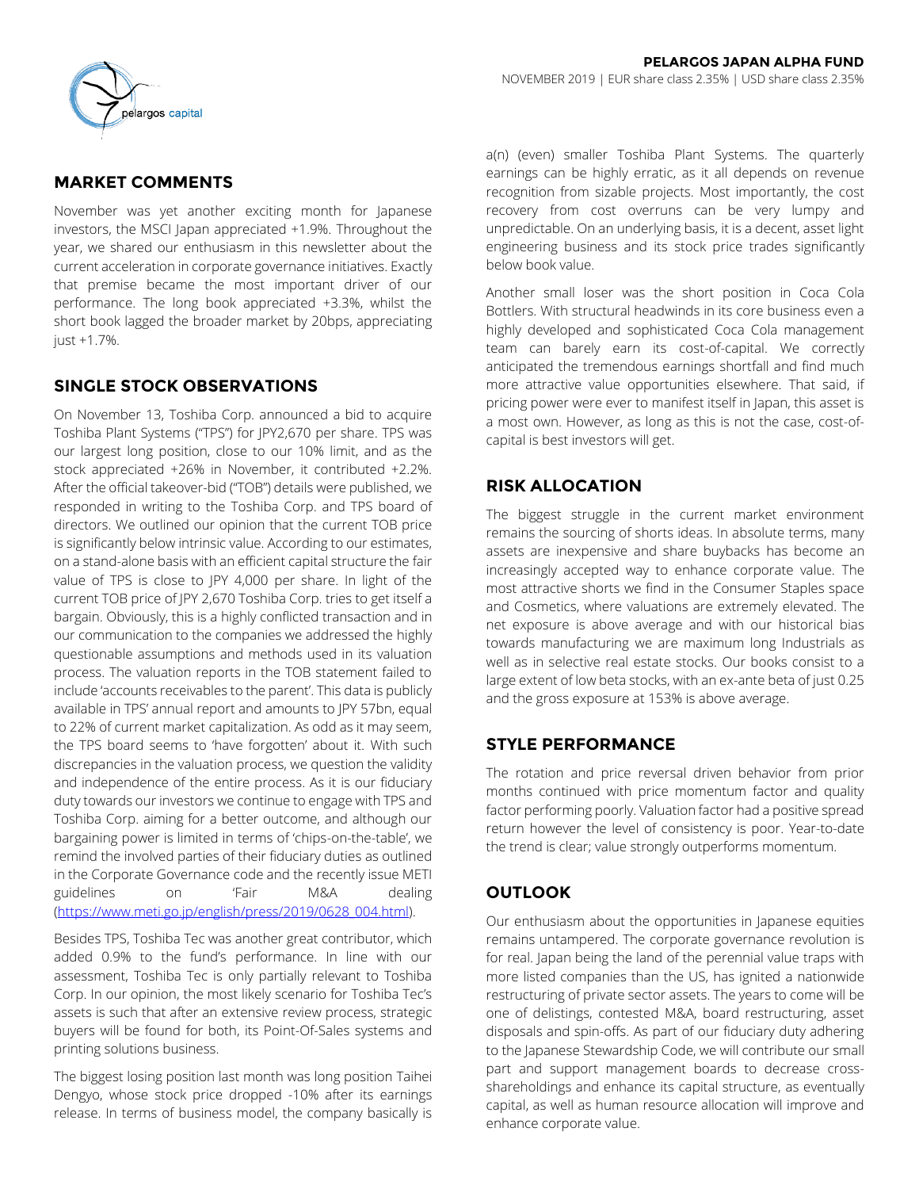

### **MARKET COMMENTS**

November was yet another exciting month for Japanese investors, the MSCI Japan appreciated +1.9%. Throughout the year, we shared our enthusiasm in this newsletter about the current acceleration in corporate governance initiatives. Exactly that premise became the most important driver of our performance. The long book appreciated +3.3%, whilst the short book lagged the broader market by 20bps, appreciating just +1.7%.

### **SINGLE STOCK OBSERVATIONS**

On November 13, Toshiba Corp. announced a bid to acquire Toshiba Plant Systems ("TPS") for JPY2,670 per share. TPS was our largest long position, close to our 10% limit, and as the stock appreciated +26% in November, it contributed +2.2%. After the official takeover-bid ("TOB") details were published, we responded in writing to the Toshiba Corp. and TPS board of directors. We outlined our opinion that the current TOB price is significantly below intrinsic value. According to our estimates, on a stand-alone basis with an efficient capital structure the fair value of TPS is close to JPY 4,000 per share. In light of the current TOB price of JPY 2,670 Toshiba Corp. tries to get itself a bargain. Obviously, this is a highly conflicted transaction and in our communication to the companies we addressed the highly questionable assumptions and methods used in its valuation process. The valuation reports in the TOB statement failed to include 'accounts receivables to the parent'. This data is publicly available in TPS' annual report and amounts to JPY 57bn, equal to 22% of current market capitalization. As odd as it may seem, the TPS board seems to 'have forgotten' about it. With such discrepancies in the valuation process, we question the validity and independence of the entire process. As it is our fiduciary duty towards our investors we continue to engage with TPS and Toshiba Corp. aiming for a better outcome, and although our bargaining power is limited in terms of 'chips-on-the-table', we remind the involved parties of their fiduciary duties as outlined in the Corporate Governance code and the recently issue METI guidelines on 'Fair M&A dealing [\(https://www.meti.go.jp/english/press/2019/0628\\_004.html\).](https://www.meti.go.jp/english/press/2019/0628_004.html)

Besides TPS, Toshiba Tec was another great contributor, which added 0.9% to the fund's performance. In line with our assessment, Toshiba Tec is only partially relevant to Toshiba Corp. In our opinion, the most likely scenario for Toshiba Tec's assets is such that after an extensive review process, strategic buyers will be found for both, its Point-Of-Sales systems and printing solutions business.

The biggest losing position last month was long position Taihei Dengyo, whose stock price dropped -10% after its earnings release. In terms of business model, the company basically is a(n) (even) smaller Toshiba Plant Systems. The quarterly earnings can be highly erratic, as it all depends on revenue recognition from sizable projects. Most importantly, the cost recovery from cost overruns can be very lumpy and unpredictable. On an underlying basis, it is a decent, asset light engineering business and its stock price trades significantly below book value.

Another small loser was the short position in Coca Cola Bottlers. With structural headwinds in its core business even a highly developed and sophisticated Coca Cola management team can barely earn its cost-of-capital. We correctly anticipated the tremendous earnings shortfall and find much more attractive value opportunities elsewhere. That said, if pricing power were ever to manifest itself in Japan, this asset is a most own. However, as long as this is not the case, cost-ofcapital is best investors will get.

# **RISK ALLOCATION**

The biggest struggle in the current market environment remains the sourcing of shorts ideas. In absolute terms, many assets are inexpensive and share buybacks has become an increasingly accepted way to enhance corporate value. The most attractive shorts we find in the Consumer Staples space and Cosmetics, where valuations are extremely elevated. The net exposure is above average and with our historical bias towards manufacturing we are maximum long Industrials as well as in selective real estate stocks. Our books consist to a large extent of low beta stocks, with an ex-ante beta of just 0.25 and the gross exposure at 153% is above average.

### **STYLE PERFORMANCE**

The rotation and price reversal driven behavior from prior months continued with price momentum factor and quality factor performing poorly. Valuation factor had a positive spread return however the level of consistency is poor. Year-to-date the trend is clear; value strongly outperforms momentum.

### **OUTLOOK**

Our enthusiasm about the opportunities in Japanese equities remains untampered. The corporate governance revolution is for real. Japan being the land of the perennial value traps with more listed companies than the US, has ignited a nationwide restructuring of private sector assets. The years to come will be one of delistings, contested M&A, board restructuring, asset disposals and spin-offs. As part of our fiduciary duty adhering to the Japanese Stewardship Code, we will contribute our small part and support management boards to decrease crossshareholdings and enhance its capital structure, as eventually capital, as well as human resource allocation will improve and enhance corporate value.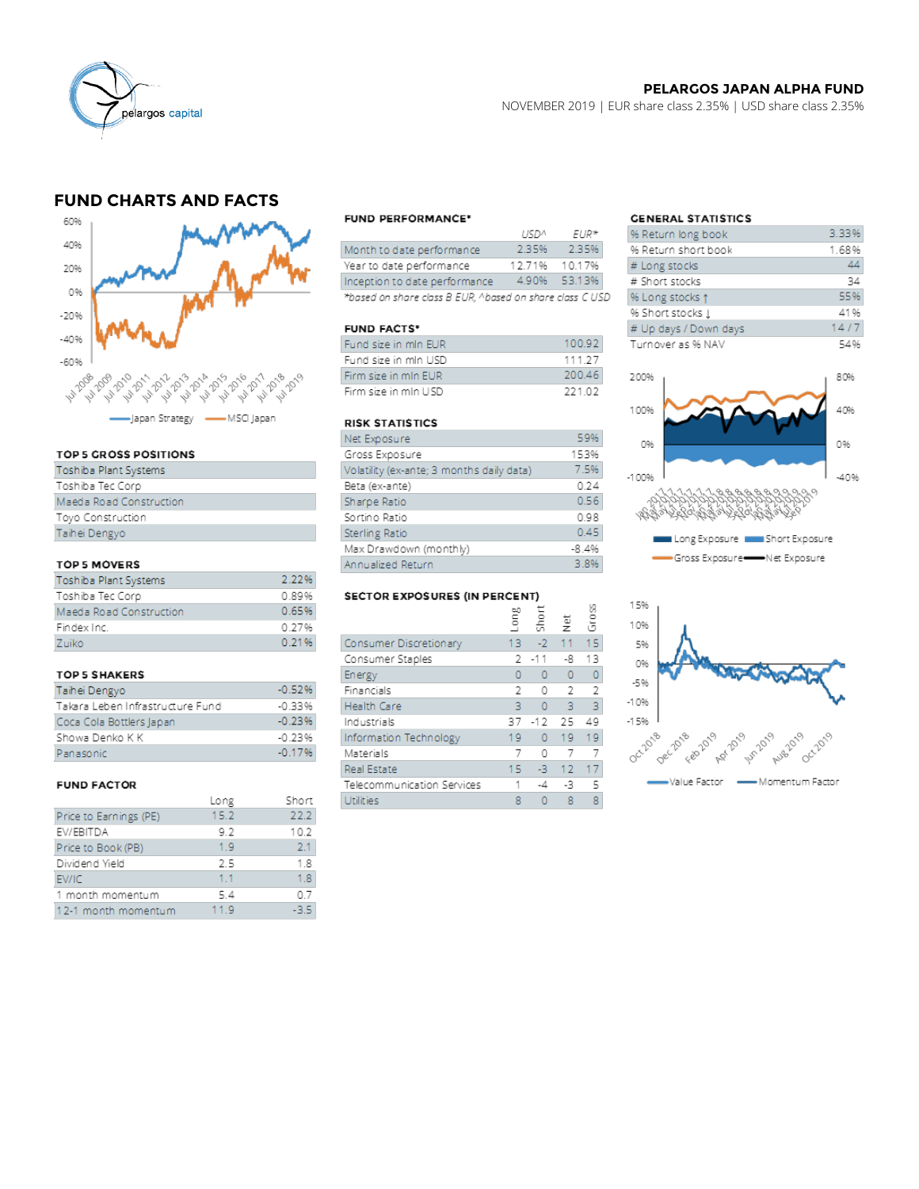

### **PELARGOS JAPAN ALPHA FUND**

NOVEMBER 2019 | EUR share class 2.35% | USD share class 2.35%

# **FUND CHARTS AND FACTS**



#### TOP 5 GROSS POSITIONS

| Toshiba Plant Systems   |
|-------------------------|
| Toshiba Tec Corp        |
| Maeda Road Construction |
| Toyo Construction       |
| Taihei Dengyo           |
|                         |

#### TOP 5 MOVERS

| Toshiba Plant Systems   | 2.22% |
|-------------------------|-------|
| Toshiba Tec Corp        | 0.89% |
| Maeda Road Construction | 0.65% |
| Findex Inc.             | 0.27% |
| Zuiko                   | 0.21% |

#### **TOP 5 SHAKERS**

| Taihei Dengyo                    | $-0.52%$ |
|----------------------------------|----------|
| Takara Leben Infrastructure Fund | $-0.33%$ |
| Coca Cola Bottlers Japan         | $-0.23%$ |
| Showa Denko K K                  | $-0.23%$ |
| Panasonic                        | $-0.17%$ |

#### **FUND FACTOR**

|                        | Long | Short |
|------------------------|------|-------|
| Price to Earnings (PE) | 15.2 | 22.2  |
| EV/EBITDA              | 9.2  | 10.2  |
| Price to Book (PB)     | 1.9  | 2.1   |
| Dividend Yield         | 2.5  | 1.8   |
| EV/IC                  | 1.1  | 1.8   |
| 1 month momentum       | 5.4  | 0.7   |
| 12-1 month momentum    | 11.9 | -3.5  |

#### **FUND PERFORMANCE\***

|                                                          | 115120        | $FIR*$       |  |
|----------------------------------------------------------|---------------|--------------|--|
| Month to date performance                                | 2.35%         | 2.35%        |  |
| Year to date performance                                 | 12.71% 10.17% |              |  |
| Inception to date performance                            |               | 4.90% 53.13% |  |
| *based on share class B EUR, ^based on share class C USD |               |              |  |

#### **FUND FACTS\***

| Fund size in mIn EUR  | 100.92 |
|-----------------------|--------|
| Fund size in mIn USD  | 111 27 |
| Firm size in mIn EUR. | 200.46 |
| Firm size in mIn USD  | 221.02 |

#### **RISK STATISTICS**

| Net Exposure                              | 59%     |
|-------------------------------------------|---------|
| Gross Exposure                            | 153%    |
| Volatility (ex-ante; 3 months daily data) | 7.5%    |
| Beta (ex-ante)                            | 0.24    |
| Sharpe Ratio                              | 0.56    |
| Sortino Ratio                             | 0.98    |
| <b>Sterling Ratio</b>                     | 0.45    |
| Max Drawdown (monthly)                    | $-8.4%$ |
| Annualized Return                         | 3.8%    |

#### SECTOR EXPOSURES (IN PERCENT)

|                            | ă  | Shor    | $\frac{\ddot{v}}{2}$ | Ğros |
|----------------------------|----|---------|----------------------|------|
| Consumer Discretionary     | 13 | $-2$    | 11 <sub>1</sub>      | 15   |
| Consumer Staples           |    | 2 - 11  | -8                   | 13   |
| Energy                     | 0  | 0       | 0                    | 0    |
| Financials                 | 2  | 0       | 2                    |      |
| Health Care                | в  | 0       | 3                    | 3    |
| Industrials                | 37 | $-12$   | - 25                 | 49   |
| Information Technology     | 19 | $\circ$ | 19.                  | 19   |
| Materials                  | 7  | 0       |                      |      |
| Real Estate                | 15 | -3 -    | 12                   | 17   |
| Telecommunication Services |    | -4      | -3                   |      |
| Utilities                  | 8  |         | 8                    | 8    |

 $\sim$ 

## **GENERAL STATISTICS**

| ya Return long book   | 3.33% |
|-----------------------|-------|
| % Return short book   | 1.68% |
| # Long stocks         | 44    |
| # Short stocks        | 34    |
| % Long stocks 1       | 55%   |
| % Short stocks I      | 41%   |
| # Up days / Down days | 14/7  |
| Turnover as % NAV     | 54%   |

 $\sim$   $\sim$   $\sim$